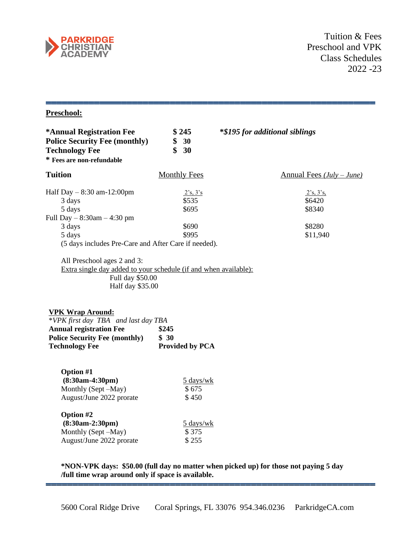

# **Preschool:**

| *Annual Registration Fee                                                                                                                                                                                                                                                      | \$245                                 | <i>*\$195 for additional siblings</i> |
|-------------------------------------------------------------------------------------------------------------------------------------------------------------------------------------------------------------------------------------------------------------------------------|---------------------------------------|---------------------------------------|
| <b>Police Security Fee (monthly)</b>                                                                                                                                                                                                                                          | \$<br>30                              |                                       |
| <b>Technology Fee</b>                                                                                                                                                                                                                                                         | $\mathbf{\$}$<br>30                   |                                       |
| * Fees are non-refundable                                                                                                                                                                                                                                                     |                                       |                                       |
| <b>Tuition</b>                                                                                                                                                                                                                                                                | <b>Monthly Fees</b>                   | Annual Fees $(July-June)$             |
| Half Day $-8:30$ am-12:00pm                                                                                                                                                                                                                                                   | 2's, 3's                              | 2's, 3's,                             |
| 3 days                                                                                                                                                                                                                                                                        | \$535                                 | \$6420                                |
| 5 days                                                                                                                                                                                                                                                                        | \$695                                 | \$8340                                |
| Full Day - 8:30am - 4:30 pm                                                                                                                                                                                                                                                   |                                       |                                       |
| 3 days                                                                                                                                                                                                                                                                        | \$690                                 | \$8280                                |
| 5 days                                                                                                                                                                                                                                                                        | \$995                                 | \$11,940                              |
| (5 days includes Pre-Care and After Care if needed).                                                                                                                                                                                                                          |                                       |                                       |
| Extra single day added to your schedule (if and when available):<br>Full day \$50.00<br>Half day \$35.00<br><b>VPK Wrap Around:</b><br>*VPK first day TBA and last day TBA<br><b>Annual registration Fee</b><br><b>Police Security Fee (monthly)</b><br><b>Technology Fee</b> | \$245<br>\$30<br>Provided by PCA      |                                       |
| <b>Option #1</b><br>$(8:30am-4:30pm)$<br>Monthly (Sept -May)<br>August/June 2022 prorate                                                                                                                                                                                      | $5 \text{ days/wk}$<br>\$675<br>\$450 |                                       |
| Option #2<br>$(8:30am-2:30pm)$<br>Monthly (Sept -May)<br>August/June 2022 prorate                                                                                                                                                                                             | 5 days/wk<br>\$375<br>\$255           |                                       |

**\*NON-VPK days: \$50.00 (full day no matter when picked up) for those not paying 5 day /full time wrap around only if space is available.**